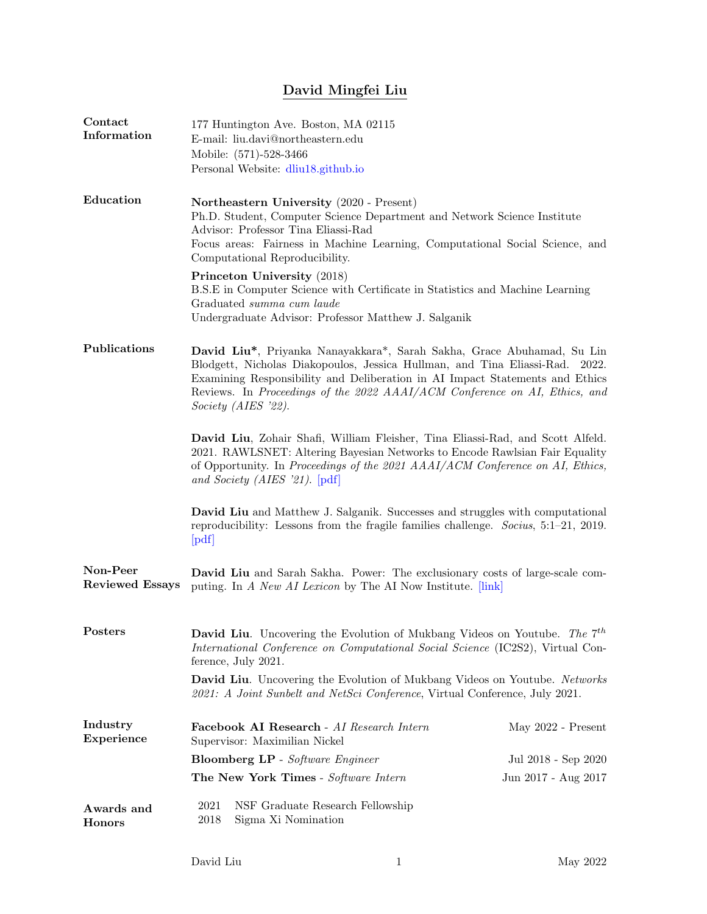## David Mingfei Liu

| Contact<br>Information             | 177 Huntington Ave. Boston, MA 02115<br>E-mail: liu.davi@northeastern.edu<br>Mobile: (571)-528-3466<br>Personal Website: dliu18.github.io                                                                                                                                                                                                   |                     |  |
|------------------------------------|---------------------------------------------------------------------------------------------------------------------------------------------------------------------------------------------------------------------------------------------------------------------------------------------------------------------------------------------|---------------------|--|
| Education                          | Northeastern University (2020 - Present)<br>Ph.D. Student, Computer Science Department and Network Science Institute<br>Advisor: Professor Tina Eliassi-Rad<br>Focus areas: Fairness in Machine Learning, Computational Social Science, and<br>Computational Reproducibility.                                                               |                     |  |
|                                    | Princeton University (2018)<br>B.S.E in Computer Science with Certificate in Statistics and Machine Learning<br>Graduated summa cum laude<br>Undergraduate Advisor: Professor Matthew J. Salganik                                                                                                                                           |                     |  |
| Publications                       | David Liu*, Priyanka Nanayakkara*, Sarah Sakha, Grace Abuhamad, Su Lin<br>Blodgett, Nicholas Diakopoulos, Jessica Hullman, and Tina Eliassi-Rad. 2022.<br>Examining Responsibility and Deliberation in AI Impact Statements and Ethics<br>Reviews. In Proceedings of the 2022 AAAI/ACM Conference on AI, Ethics, and<br>Society (AIES '22). |                     |  |
|                                    | David Liu, Zohair Shafi, William Fleisher, Tina Eliassi-Rad, and Scott Alfeld.<br>2021. RAWLSNET: Altering Bayesian Networks to Encode Rawlsian Fair Equality<br>of Opportunity. In Proceedings of the 2021 AAAI/ACM Conference on AI, Ethics,<br>and Society (AIES '21). $[pdf]$                                                           |                     |  |
|                                    | <b>David Liu</b> and Matthew J. Salganik. Successes and struggles with computational<br>reproducibility: Lessons from the fragile families challenge. Socius, $5:1-21$ , 2019.<br>[pdf]                                                                                                                                                     |                     |  |
| Non-Peer<br><b>Reviewed Essays</b> | David Liu and Sarah Sakha. Power: The exclusionary costs of large-scale com-<br>puting. In A New AI Lexicon by The AI Now Institute. [link]                                                                                                                                                                                                 |                     |  |
| Posters                            | <b>David Liu.</b> Uncovering the Evolution of Mukbang Videos on Youtube. The $7^{th}$<br>International Conference on Computational Social Science (IC2S2), Virtual Con-<br>ference, July 2021.                                                                                                                                              |                     |  |
|                                    | David Liu. Uncovering the Evolution of Mukbang Videos on Youtube. Networks<br>2021: A Joint Sunbelt and NetSci Conference, Virtual Conference, July 2021.                                                                                                                                                                                   |                     |  |
| Industry<br>Experience             | Facebook AI Research - AI Research Intern<br>Supervisor: Maximilian Nickel                                                                                                                                                                                                                                                                  | May 2022 - Present  |  |
|                                    | <b>Bloomberg LP</b> - Software Engineer                                                                                                                                                                                                                                                                                                     | Jul 2018 - Sep 2020 |  |
|                                    | The New York Times - Software Intern                                                                                                                                                                                                                                                                                                        | Jun 2017 - Aug 2017 |  |
| Awards and<br><b>Honors</b>        | 2021<br>NSF Graduate Research Fellowship<br>2018<br>Sigma Xi Nomination                                                                                                                                                                                                                                                                     |                     |  |